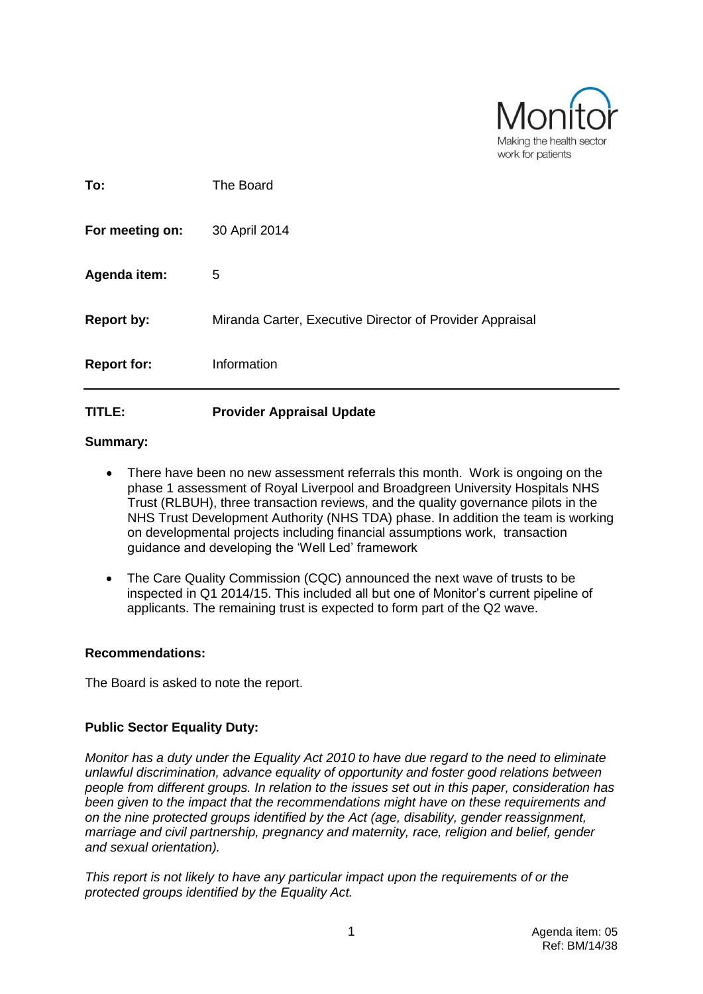

| <b>Report for:</b> | Information                                              |
|--------------------|----------------------------------------------------------|
| <b>Report by:</b>  | Miranda Carter, Executive Director of Provider Appraisal |
| Agenda item:       | 5                                                        |
| For meeting on:    | 30 April 2014                                            |
| To:                | The Board                                                |

## **TITLE: Provider Appraisal Update**

#### **Summary:**

- There have been no new assessment referrals this month. Work is ongoing on the phase 1 assessment of Royal Liverpool and Broadgreen University Hospitals NHS Trust (RLBUH), three transaction reviews, and the quality governance pilots in the NHS Trust Development Authority (NHS TDA) phase. In addition the team is working on developmental projects including financial assumptions work, transaction guidance and developing the 'Well Led' framework
- The Care Quality Commission (CQC) announced the next wave of trusts to be inspected in Q1 2014/15. This included all but one of Monitor's current pipeline of applicants. The remaining trust is expected to form part of the Q2 wave.

#### **Recommendations:**

The Board is asked to note the report.

#### **Public Sector Equality Duty:**

*Monitor has a duty under the Equality Act 2010 to have due regard to the need to eliminate unlawful discrimination, advance equality of opportunity and foster good relations between people from different groups. In relation to the issues set out in this paper, consideration has been given to the impact that the recommendations might have on these requirements and on the nine protected groups identified by the Act (age, disability, gender reassignment, marriage and civil partnership, pregnancy and maternity, race, religion and belief, gender and sexual orientation).* 

*This report is not likely to have any particular impact upon the requirements of or the protected groups identified by the Equality Act.*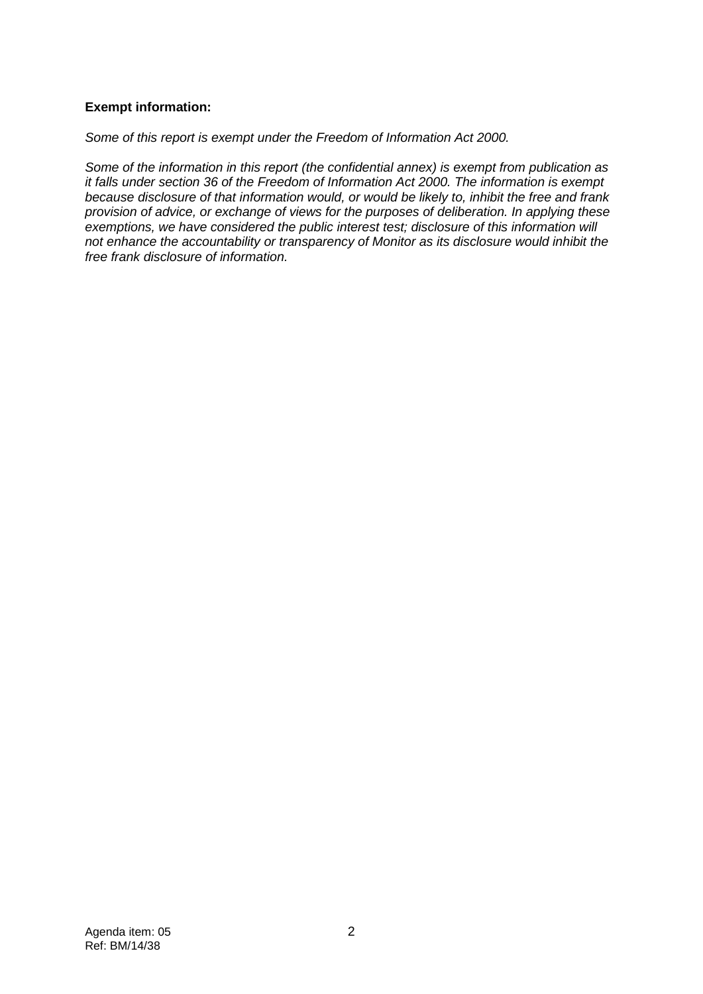## **Exempt information:**

## *Some of this report is exempt under the Freedom of Information Act 2000.*

*Some of the information in this report (the confidential annex) is exempt from publication as it falls under section 36 of the Freedom of Information Act 2000. The information is exempt because disclosure of that information would, or would be likely to, inhibit the free and frank provision of advice, or exchange of views for the purposes of deliberation. In applying these exemptions, we have considered the public interest test; disclosure of this information will not enhance the accountability or transparency of Monitor as its disclosure would inhibit the free frank disclosure of information.*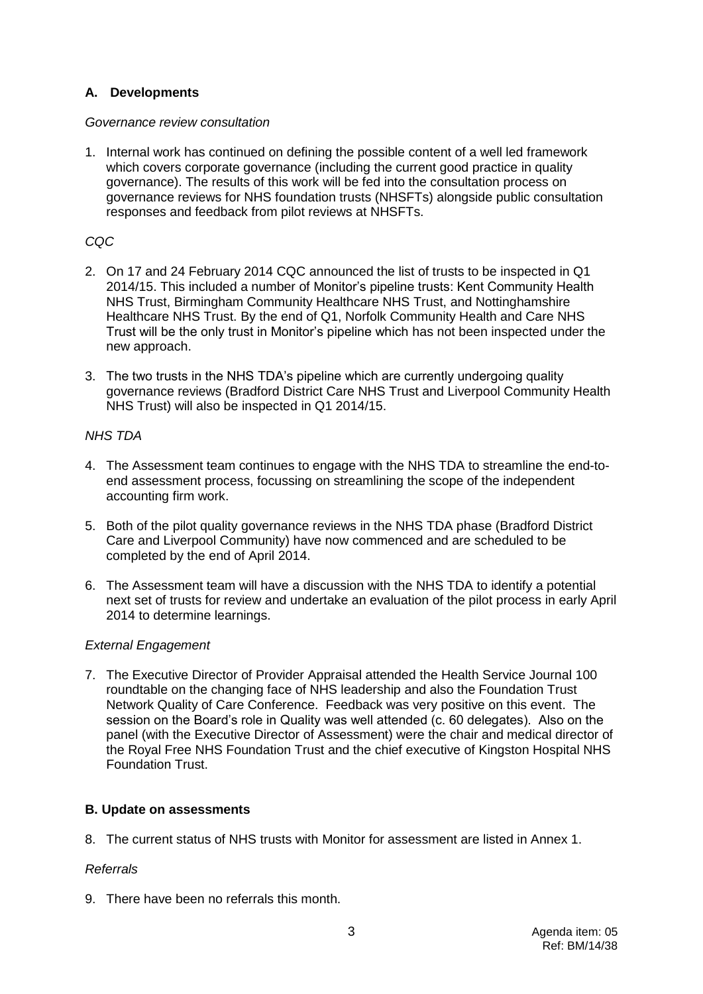## **A. Developments**

#### *Governance review consultation*

1. Internal work has continued on defining the possible content of a well led framework which covers corporate governance (including the current good practice in quality governance). The results of this work will be fed into the consultation process on governance reviews for NHS foundation trusts (NHSFTs) alongside public consultation responses and feedback from pilot reviews at NHSFTs.

## *CQC*

- 2. On 17 and 24 February 2014 CQC announced the list of trusts to be inspected in Q1 2014/15. This included a number of Monitor's pipeline trusts: Kent Community Health NHS Trust, Birmingham Community Healthcare NHS Trust, and Nottinghamshire Healthcare NHS Trust. By the end of Q1, Norfolk Community Health and Care NHS Trust will be the only trust in Monitor's pipeline which has not been inspected under the new approach.
- 3. The two trusts in the NHS TDA's pipeline which are currently undergoing quality governance reviews (Bradford District Care NHS Trust and Liverpool Community Health NHS Trust) will also be inspected in Q1 2014/15.

## *NHS TDA*

- 4. The Assessment team continues to engage with the NHS TDA to streamline the end-toend assessment process, focussing on streamlining the scope of the independent accounting firm work.
- 5. Both of the pilot quality governance reviews in the NHS TDA phase (Bradford District Care and Liverpool Community) have now commenced and are scheduled to be completed by the end of April 2014.
- 6. The Assessment team will have a discussion with the NHS TDA to identify a potential next set of trusts for review and undertake an evaluation of the pilot process in early April 2014 to determine learnings.

## *External Engagement*

7. The Executive Director of Provider Appraisal attended the Health Service Journal 100 roundtable on the changing face of NHS leadership and also the Foundation Trust Network Quality of Care Conference. Feedback was very positive on this event. The session on the Board's role in Quality was well attended (c. 60 delegates). Also on the panel (with the Executive Director of Assessment) were the chair and medical director of the Royal Free NHS Foundation Trust and the chief executive of Kingston Hospital NHS Foundation Trust.

## **B. Update on assessments**

8. The current status of NHS trusts with Monitor for assessment are listed in Annex 1.

## *Referrals*

9. There have been no referrals this month.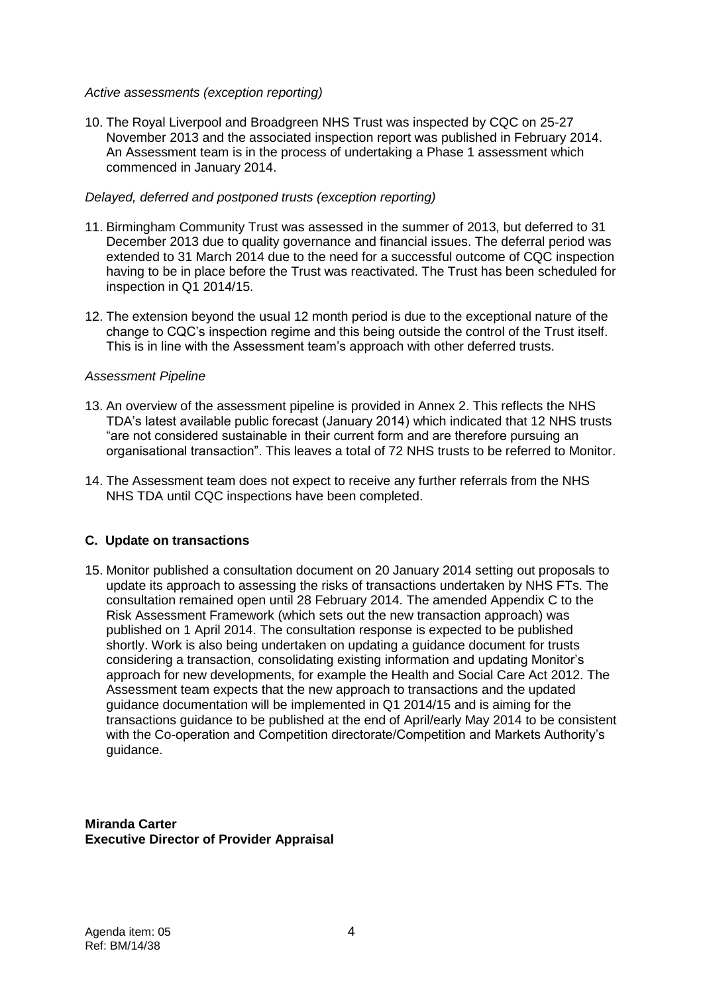#### *Active assessments (exception reporting)*

10. The Royal Liverpool and Broadgreen NHS Trust was inspected by CQC on 25-27 November 2013 and the associated inspection report was published in February 2014. An Assessment team is in the process of undertaking a Phase 1 assessment which commenced in January 2014.

#### *Delayed, deferred and postponed trusts (exception reporting)*

- 11. Birmingham Community Trust was assessed in the summer of 2013, but deferred to 31 December 2013 due to quality governance and financial issues. The deferral period was extended to 31 March 2014 due to the need for a successful outcome of CQC inspection having to be in place before the Trust was reactivated. The Trust has been scheduled for inspection in Q1 2014/15.
- 12. The extension beyond the usual 12 month period is due to the exceptional nature of the change to CQC's inspection regime and this being outside the control of the Trust itself. This is in line with the Assessment team's approach with other deferred trusts.

#### *Assessment Pipeline*

- 13. An overview of the assessment pipeline is provided in Annex 2. This reflects the NHS TDA's latest available public forecast (January 2014) which indicated that 12 NHS trusts "are not considered sustainable in their current form and are therefore pursuing an organisational transaction". This leaves a total of 72 NHS trusts to be referred to Monitor.
- 14. The Assessment team does not expect to receive any further referrals from the NHS NHS TDA until CQC inspections have been completed.

#### **C. Update on transactions**

15. Monitor published a consultation document on 20 January 2014 setting out proposals to update its approach to assessing the risks of transactions undertaken by NHS FTs. The consultation remained open until 28 February 2014. The amended Appendix C to the Risk Assessment Framework (which sets out the new transaction approach) was published on 1 April 2014. The consultation response is expected to be published shortly. Work is also being undertaken on updating a guidance document for trusts considering a transaction, consolidating existing information and updating Monitor's approach for new developments, for example the Health and Social Care Act 2012. The Assessment team expects that the new approach to transactions and the updated guidance documentation will be implemented in Q1 2014/15 and is aiming for the transactions guidance to be published at the end of April/early May 2014 to be consistent with the Co-operation and Competition directorate/Competition and Markets Authority's guidance.

**Miranda Carter Executive Director of Provider Appraisal**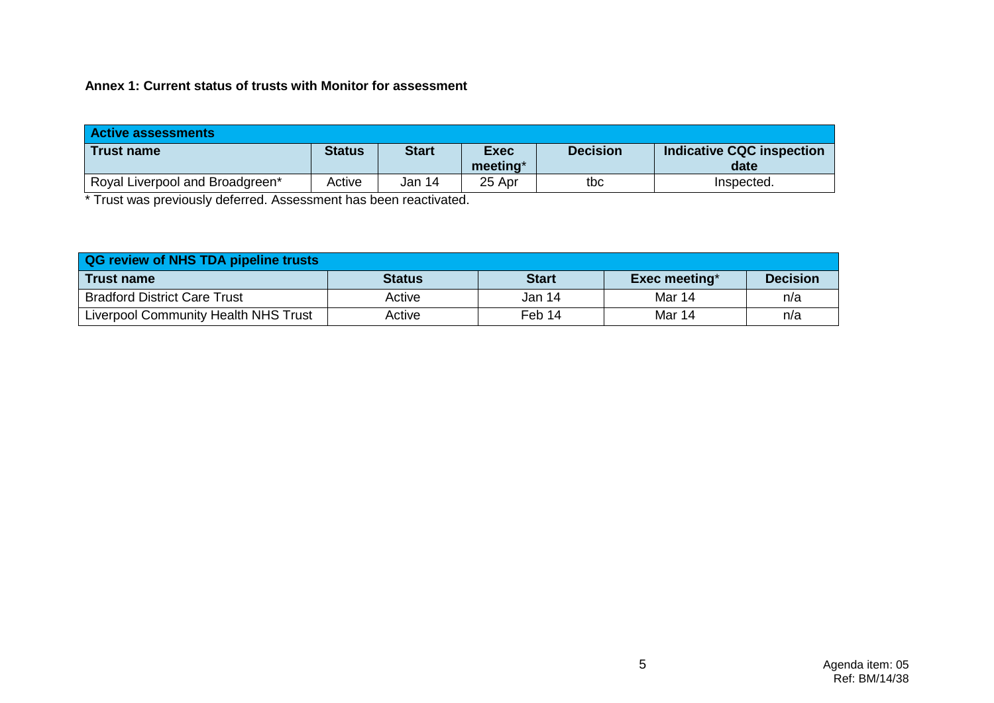**Annex 1: Current status of trusts with Monitor for assessment**

| <b>Active assessments</b>       |               |              |                         |                 |                                          |
|---------------------------------|---------------|--------------|-------------------------|-----------------|------------------------------------------|
| Trust name                      | <b>Status</b> | <b>Start</b> | <b>Exec</b><br>meeting* | <b>Decision</b> | <b>Indicative CQC inspection</b><br>date |
| Royal Liverpool and Broadgreen* | Active        | Jan 14       | 25 Apr                  | tbc             | Inspected.                               |

\* Trust was previously deferred. Assessment has been reactivated.

| <b>QG review of NHS TDA pipeline trusts</b> |               |              |               |                 |  |  |
|---------------------------------------------|---------------|--------------|---------------|-----------------|--|--|
| <b>Trust name</b>                           | <b>Status</b> | <b>Start</b> | Exec meeting* | <b>Decision</b> |  |  |
| <b>Bradford District Care Trust</b>         | Active        | Jan 14       | Mar 14        | n/a             |  |  |
| <b>Liverpool Community Health NHS Trust</b> | Active        | Feb 14       | Mar 14        | n/a             |  |  |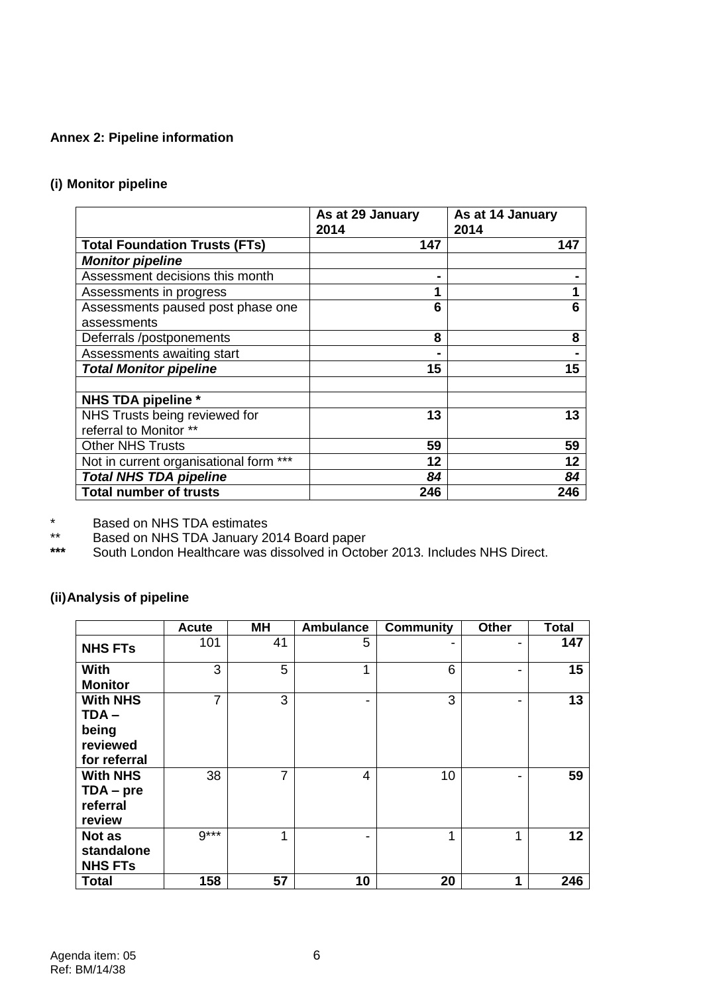# **Annex 2: Pipeline information**

# **(i) Monitor pipeline**

|                                        | As at 29 January<br>2014 | As at 14 January<br>2014 |
|----------------------------------------|--------------------------|--------------------------|
| <b>Total Foundation Trusts (FTs)</b>   | 147                      | 147                      |
| <b>Monitor pipeline</b>                |                          |                          |
| Assessment decisions this month        |                          |                          |
| Assessments in progress                |                          |                          |
| Assessments paused post phase one      | 6                        | 6                        |
| assessments                            |                          |                          |
| Deferrals /postponements               | 8                        | 8                        |
| Assessments awaiting start             |                          |                          |
| <b>Total Monitor pipeline</b>          | 15                       | 15                       |
|                                        |                          |                          |
| NHS TDA pipeline *                     |                          |                          |
| NHS Trusts being reviewed for          | 13                       | 13                       |
| referral to Monitor **                 |                          |                          |
| <b>Other NHS Trusts</b>                | 59                       | 59                       |
| Not in current organisational form *** | 12                       | 12                       |
| <b>Total NHS TDA pipeline</b>          | 84                       | 84                       |
| <b>Total number of trusts</b>          | 246                      | 246                      |

\* Based on NHS TDA estimates

\*\* Based on NHS TDA January 2014 Board paper

**\*\*\*** South London Healthcare was dissolved in October 2013. Includes NHS Direct.

# **(ii)Analysis of pipeline**

|                                                              | <b>Acute</b>   | <b>MH</b>      | <b>Ambulance</b> | <b>Community</b> | <b>Other</b>   | <b>Total</b> |
|--------------------------------------------------------------|----------------|----------------|------------------|------------------|----------------|--------------|
| <b>NHS FTs</b>                                               | 101            | 41             | 5                |                  |                | 147          |
| <b>With</b><br><b>Monitor</b>                                | 3              | 5              | 1                | 6                | $\blacksquare$ | 15           |
| <b>With NHS</b><br>TDA-<br>being<br>reviewed<br>for referral | $\overline{7}$ | 3              | -                | 3                | $\blacksquare$ | 13           |
| <b>With NHS</b><br>$TDA - pre$<br>referral<br>review         | 38             | $\overline{7}$ | $\overline{4}$   | 10               | $\blacksquare$ | 59           |
| Not as<br>standalone<br><b>NHS FTs</b>                       | $9***$         | 1              |                  | 1                | 1              | 12           |
| <b>Total</b>                                                 | 158            | 57             | 10               | 20               | 1              | 246          |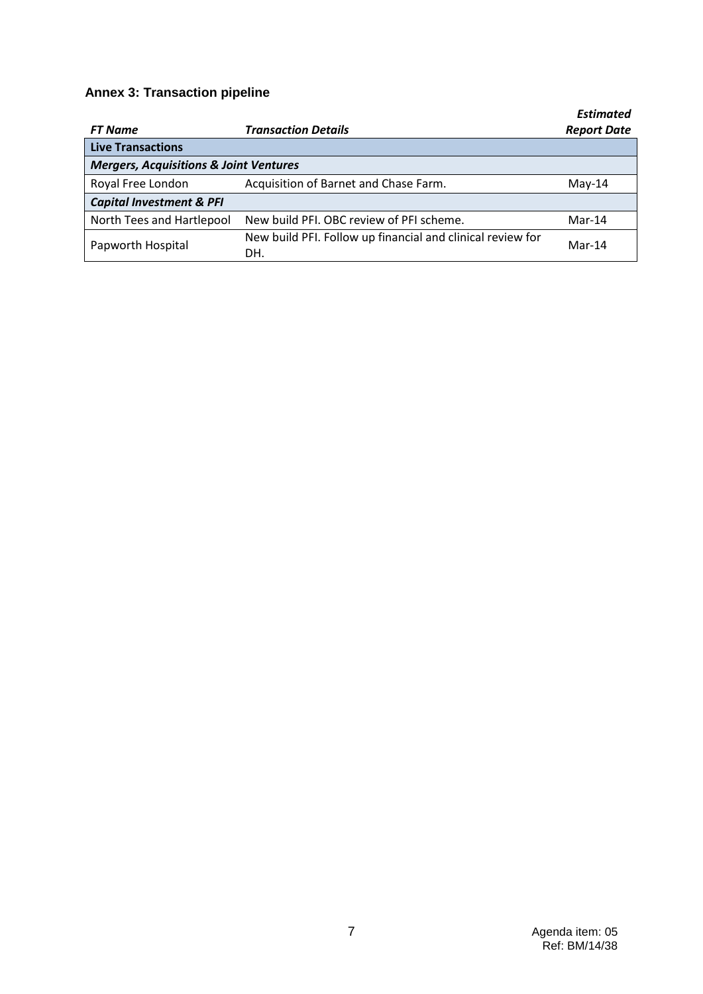# **Annex 3: Transaction pipeline**

| <b>FT Name</b>                                    | <b>Transaction Details</b>                                        | <b>Estimated</b><br><b>Report Date</b> |  |  |  |
|---------------------------------------------------|-------------------------------------------------------------------|----------------------------------------|--|--|--|
| <b>Live Transactions</b>                          |                                                                   |                                        |  |  |  |
| <b>Mergers, Acquisitions &amp; Joint Ventures</b> |                                                                   |                                        |  |  |  |
| Royal Free London                                 | Acquisition of Barnet and Chase Farm.                             | $Mav-14$                               |  |  |  |
| <b>Capital Investment &amp; PFI</b>               |                                                                   |                                        |  |  |  |
| North Tees and Hartlepool                         | New build PFI. OBC review of PFI scheme.                          | $Mar-14$                               |  |  |  |
| Papworth Hospital                                 | New build PFI. Follow up financial and clinical review for<br>DH. | $Mar-14$                               |  |  |  |